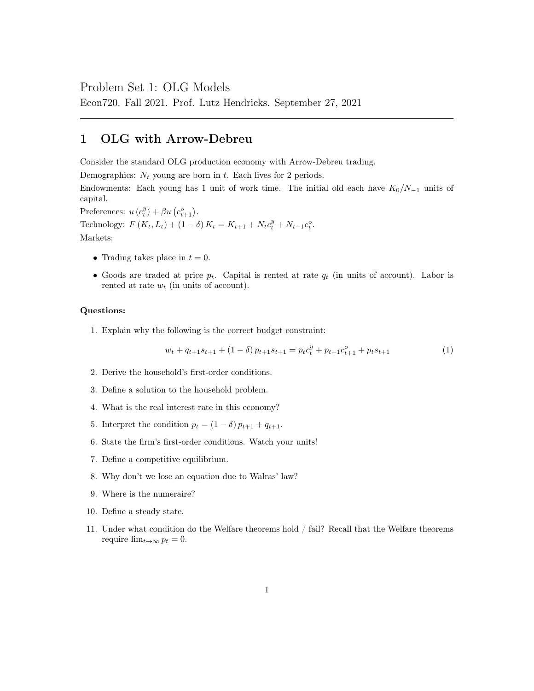### Problem Set 1: OLG Models

Econ720. Fall 2021. Prof. Lutz Hendricks. September 27, 2021

## 1 OLG with Arrow-Debreu

Consider the standard OLG production economy with Arrow-Debreu trading.

Demographics:  $N_t$  young are born in t. Each lives for 2 periods.

Endowments: Each young has 1 unit of work time. The initial old each have  $K_0/N_{-1}$  units of capital.

Preferences:  $u(c_t^y) + \beta u(c_{t+1}^o)$ .

Technology:  $F(K_t, L_t) + (1 - \delta) K_t = K_{t+1} + N_t c_t^y + N_{t-1} c_t^o$ .

Markets:

- Trading takes place in  $t = 0$ .
- Goods are traded at price  $p_t$ . Capital is rented at rate  $q_t$  (in units of account). Labor is rented at rate  $w_t$  (in units of account).

#### Questions:

1. Explain why the following is the correct budget constraint:

$$
w_t + q_{t+1}s_{t+1} + (1 - \delta)p_{t+1}s_{t+1} = p_t c_t^y + p_{t+1} c_{t+1}^o + p_t s_{t+1}
$$
\n(1)

- 2. Derive the household's first-order conditions.
- 3. Define a solution to the household problem.
- 4. What is the real interest rate in this economy?
- 5. Interpret the condition  $p_t = (1 \delta) p_{t+1} + q_{t+1}$ .
- 6. State the firm's first-order conditions. Watch your units!
- 7. Define a competitive equilibrium.
- 8. Why don't we lose an equation due to Walras' law?
- 9. Where is the numeraire?
- 10. Define a steady state.
- 11. Under what condition do the Welfare theorems hold / fail? Recall that the Welfare theorems require  $\lim_{t\to\infty} p_t = 0$ .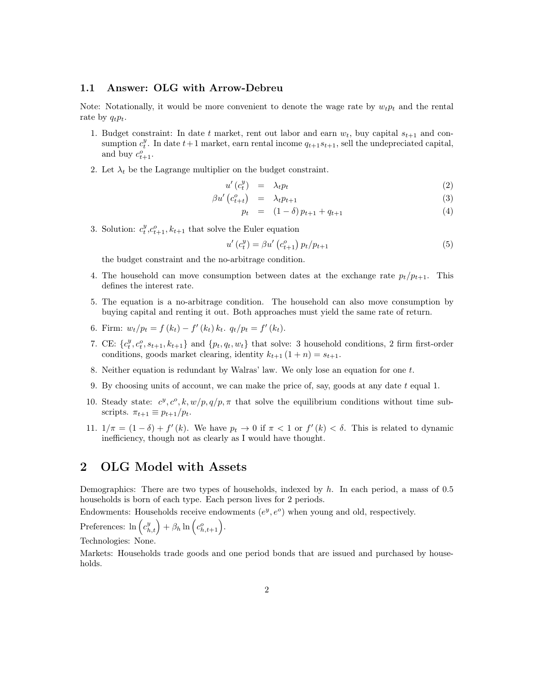### 1.1 Answer: OLG with Arrow-Debreu

Note: Notationally, it would be more convenient to denote the wage rate by  $w_t p_t$  and the rental rate by  $q_t p_t$ .

- 1. Budget constraint: In date t market, rent out labor and earn  $w_t$ , buy capital  $s_{t+1}$  and consumption  $c_t^y$ . In date  $t+1$  market, earn rental income  $q_{t+1}s_{t+1}$ , sell the undepreciated capital, and buy  $c_{t+1}^o$ .
- 2. Let  $\lambda_t$  be the Lagrange multiplier on the budget constraint.

$$
u'(c_t^y) = \lambda_t p_t \tag{2}
$$

$$
\beta u' \begin{pmatrix} c_{t+1}^o & & & \\ & & & \\ & & & & \\ \end{pmatrix} \quad = \quad \lambda_t p_{t+1} \tag{3}
$$

$$
p_t = (1 - \delta) p_{t+1} + q_{t+1} \tag{4}
$$

3. Solution:  $c_t^y, c_{t+1}^o, k_{t+1}$  that solve the Euler equation

$$
u'(c_t^y) = \beta u'(c_{t+1}^o) p_t / p_{t+1}
$$
\n(5)

the budget constraint and the no-arbitrage condition.

- 4. The household can move consumption between dates at the exchange rate  $p_t/p_{t+1}$ . This defines the interest rate.
- 5. The equation is a no-arbitrage condition. The household can also move consumption by buying capital and renting it out. Both approaches must yield the same rate of return.
- 6. Firm:  $w_t/p_t = f(k_t) f'(k_t) k_t$ .  $q_t/p_t = f'(k_t)$ .
- 7. CE:  $\{c_t^y, c_t^o, s_{t+1}, k_{t+1}\}$  and  $\{p_t, q_t, w_t\}$  that solve: 3 household conditions, 2 firm first-order conditions, goods market clearing, identity  $k_{t+1}$   $(1 + n) = s_{t+1}$ .
- 8. Neither equation is redundant by Walras' law. We only lose an equation for one t.
- 9. By choosing units of account, we can make the price of, say, goods at any date  $t$  equal 1.
- 10. Steady state:  $c^y$ ,  $c^o$ ,  $k$ ,  $w/p$ ,  $q/p$ ,  $\pi$  that solve the equilibrium conditions without time subscripts.  $\pi_{t+1} \equiv p_{t+1}/p_t$ .
- 11.  $1/\pi = (1 \delta) + f'(k)$ . We have  $p_t \to 0$  if  $\pi < 1$  or  $f'(k) < \delta$ . This is related to dynamic inefficiency, though not as clearly as I would have thought.

# 2 OLG Model with Assets

Demographics: There are two types of households, indexed by  $h$ . In each period, a mass of 0.5 households is born of each type. Each person lives for 2 periods.

Endowments: Households receive endowments  $(e^y, e^o)$  when young and old, respectively.

Preferences:  $\ln\left(c_{h,t}^y\right) + \beta_h \ln\left(c_{h,t+1}^o\right)$ .

Technologies: None.

Markets: Households trade goods and one period bonds that are issued and purchased by households.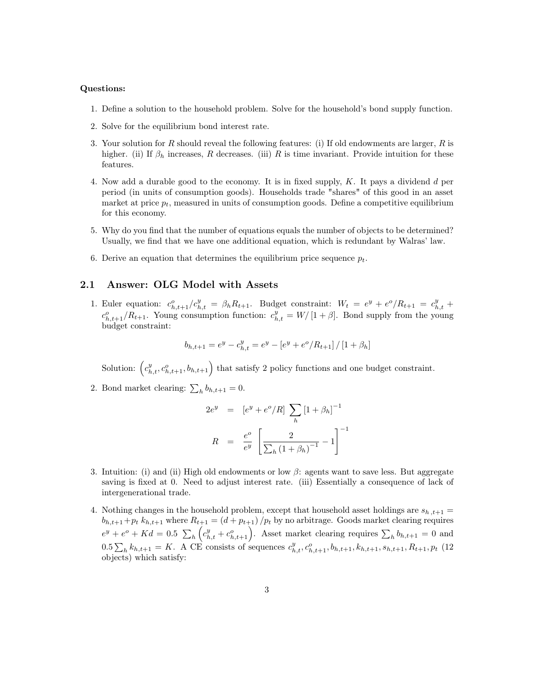#### Questions:

- 1. Define a solution to the household problem. Solve for the household's bond supply function.
- 2. Solve for the equilibrium bond interest rate.
- 3. Your solution for  $R$  should reveal the following features: (i) If old endowments are larger,  $R$  is higher. (ii) If  $\beta_h$  increases, R decreases. (iii) R is time invariant. Provide intuition for these features.
- 4. Now add a durable good to the economy. It is in fixed supply, K. It pays a dividend d per period (in units of consumption goods). Households trade "shares" of this good in an asset market at price  $p_t$ , measured in units of consumption goods. Define a competitive equilibrium for this economy.
- 5. Why do you find that the number of equations equals the number of objects to be determined? Usually, we find that we have one additional equation, which is redundant by Walras' law.
- 6. Derive an equation that determines the equilibrium price sequence  $p_t$ .

### 2.1 Answer: OLG Model with Assets

1. Euler equation:  $c_{h,t+1}^o/c_{h,t}^y = \beta_h R_{t+1}$ . Budget constraint:  $W_t = e^y + e^o/R_{t+1} = c_{h,t}^y +$  $c_{h,t+1}^o/R_{t+1}$ . Young consumption function:  $c_{h,t}^y = W/[1+\beta]$ . Bond supply from the young budget constraint:

$$
b_{h,t+1} = e^y - c_{h,t}^y = e^y - \left[e^y + e^o / R_{t+1}\right] / \left[1 + \beta_h\right]
$$

Solution:  $(c_{h,t}^y, c_{h,t+1}^o, b_{h,t+1})$  that satisfy 2 policy functions and one budget constraint.

2. Bond market clearing:  $\sum_{h} b_{h,t+1} = 0$ .

$$
2e^{y} = [e^{y} + e^{o}/R] \sum_{h} [1 + \beta_{h}]^{-1}
$$

$$
R = \frac{e^{o}}{e^{y}} \left[ \frac{2}{\sum_{h} (1 + \beta_{h})^{-1}} - 1 \right]^{-1}
$$

- 3. Intuition: (i) and (ii) High old endowments or low  $\beta$ : agents want to save less. But aggregate saving is fixed at 0. Need to adjust interest rate. (iii) Essentially a consequence of lack of intergenerational trade.
- 4. Nothing changes in the household problem, except that household asset holdings are  $s_{h,t+1} =$  $b_{h,t+1}+p_t k_{h,t+1}$  where  $R_{t+1} = (d + p_{t+1})/p_t$  by no arbitrage. Goods market clearing requires  $e^y + e^o + Kd = 0.5 \sum_h \left( c_{h,t}^y + c_{h,t+1}^o \right)$ . Asset market clearing requires  $\sum_h b_{h,t+1} = 0$  and  $0.5\sum_{h} k_{h,t+1} = K$ . A CE consists of sequences  $c_{h,t}^{y}$ ,  $c_{h,t+1}^{o}$ ,  $b_{h,t+1}$ ,  $k_{h,t+1}$ ,  $s_{h,t+1}$ ,  $R_{t+1}$ ,  $p_t$  (12) objects) which satisfy: